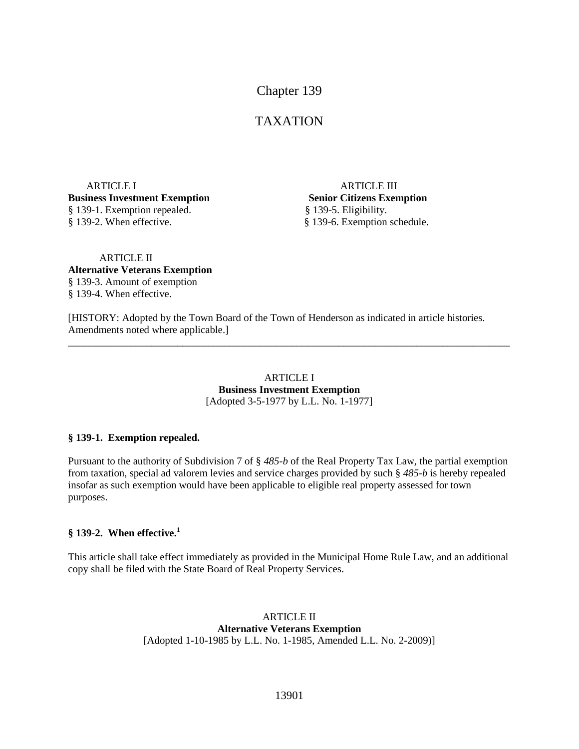# Chapter 139

# TAXATION

ARTICLE I ARTICLE III **Business Investment Exemption Senior Citizens Exemption** § 139-1. Exemption repealed.§ 139-5. Eligibility. § 139-2. When effective. § 139-6. Exemption schedule.

### ARTICLE II **Alternative Veterans Exemption** § 139-3. Amount of exemption § 139-4. When effective.

[HISTORY: Adopted by the Town Board of the Town of Henderson as indicated in article histories. Amendments noted where applicable.]

#### ARTICLE I **Business Investment Exemption** [Adopted 3-5-1977 by L.L. No. 1-1977]

\_\_\_\_\_\_\_\_\_\_\_\_\_\_\_\_\_\_\_\_\_\_\_\_\_\_\_\_\_\_\_\_\_\_\_\_\_\_\_\_\_\_\_\_\_\_\_\_\_\_\_\_\_\_\_\_\_\_\_\_\_\_\_\_\_\_\_\_\_\_\_\_\_\_\_\_\_\_\_\_\_\_\_\_\_

### **§ 139-1. Exemption repealed.**

Pursuant to the authority of Subdivision 7 of § *485-b* of the Real Property Tax Law, the partial exemption from taxation, special ad valorem levies and service charges provided by such § *485-b* is hereby repealed insofar as such exemption would have been applicable to eligible real property assessed for town purposes.

### **§ 139-2. When effective.<sup>1</sup>**

This article shall take effect immediately as provided in the Municipal Home Rule Law, and an additional copy shall be filed with the State Board of Real Property Services.

> ARTICLE II **Alternative Veterans Exemption** [Adopted 1-10-1985 by L.L. No. 1-1985, Amended L.L. No. 2-2009)]